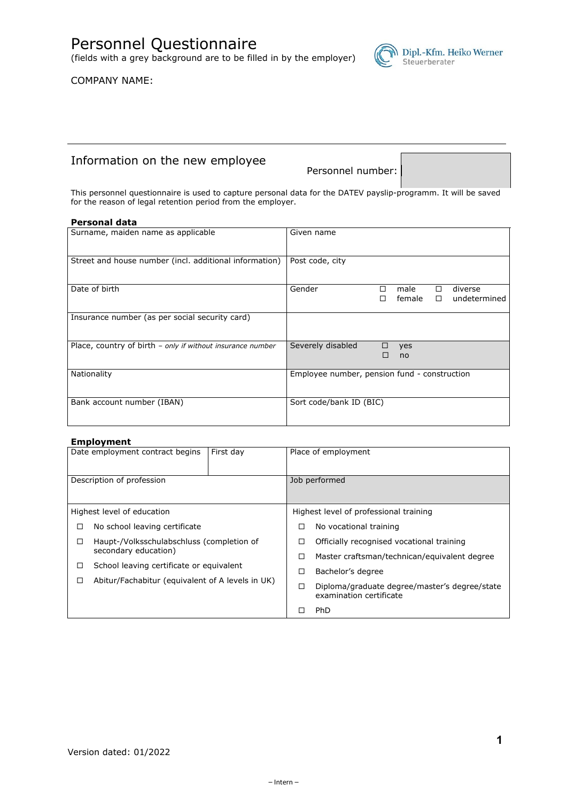Personnel Questionnaire

(fields with a grey background are to be filled in by the employer)

COMPANY NAME:

# Information on the new employee

Personnel number:

 $\bigwedge$  Dipl.-Kfm. Heiko Werner<br>Steuerberater

This personnel questionnaire is used to capture personal data for the DATEV payslip-programm. It will be saved for the reason of legal retention period from the employer.

#### **Personal data**

| Surname, maiden name as applicable                         | Given name                                                                        |
|------------------------------------------------------------|-----------------------------------------------------------------------------------|
| Street and house number (incl. additional information)     | Post code, city                                                                   |
| Date of birth                                              | Gender<br>diverse<br>male<br>$\Box$<br>п<br>female<br>undetermined<br>$\Box$<br>п |
| Insurance number (as per social security card)             |                                                                                   |
| Place, country of birth - only if without insurance number | Severely disabled<br>□<br>yes<br>□<br>no                                          |
| Nationality                                                | Employee number, pension fund - construction                                      |
| Bank account number (IBAN)                                 | Sort code/bank ID (BIC)                                                           |

#### **Employment**

|                                                | Date employment contract begins<br>First day     | Place of employment |                                                                          |
|------------------------------------------------|--------------------------------------------------|---------------------|--------------------------------------------------------------------------|
| Description of profession                      |                                                  | Job performed       |                                                                          |
|                                                | Highest level of education                       |                     | Highest level of professional training                                   |
| □                                              | No school leaving certificate                    | □                   | No vocational training                                                   |
| Haupt-/Volksschulabschluss (completion of<br>□ |                                                  | □                   | Officially recognised vocational training                                |
|                                                | secondary education)                             | □                   | Master craftsman/technican/equivalent degree                             |
| □                                              | School leaving certificate or equivalent         | □                   | Bachelor's degree                                                        |
| □                                              | Abitur/Fachabitur (equivalent of A levels in UK) |                     | Diploma/graduate degree/master's degree/state<br>examination certificate |
|                                                |                                                  |                     | <b>PhD</b>                                                               |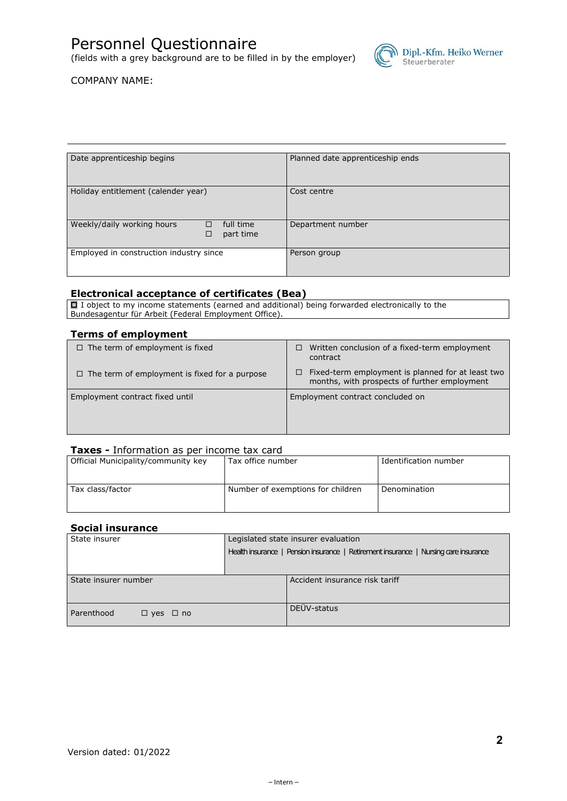# Personnel Questionnaire

(fields with a grey background are to be filled in by the employer)



## COMPANY NAME:

| Date apprenticeship begins              |                        | Planned date apprenticeship ends |
|-----------------------------------------|------------------------|----------------------------------|
| Holiday entitlement (calender year)     |                        | Cost centre                      |
| Weekly/daily working hours<br>□<br>□    | full time<br>part time | Department number                |
| Employed in construction industry since |                        | Person group                     |

#### **Electronical acceptance of certificates (Bea)**

 $\Box$  I object to my income statements (earned and additional) being forwarded electronically to the Bundesagentur für Arbeit (Federal Employment Office).

#### **Terms of employment**

| $\Box$ The term of employment is fixed               | Written conclusion of a fixed-term employment<br>contract                                              |
|------------------------------------------------------|--------------------------------------------------------------------------------------------------------|
| $\Box$ The term of employment is fixed for a purpose | Fixed-term employment is planned for at least two<br>□<br>months, with prospects of further employment |
| Employment contract fixed until                      | Employment contract concluded on                                                                       |

# **Taxes -** Information as per income tax card

| Official Municipality/community key | Tax office number                 | Identification number |
|-------------------------------------|-----------------------------------|-----------------------|
|                                     |                                   |                       |
| Tax class/factor                    | Number of exemptions for children | Denomination          |
|                                     |                                   |                       |

### **Social insurance**

| State insurer                      | Legislated state insurer evaluation                                                  |  |  |
|------------------------------------|--------------------------------------------------------------------------------------|--|--|
|                                    | Health insurance   Pension insurance   Retirement insurance   Nursing care insurance |  |  |
|                                    |                                                                                      |  |  |
| State insurer number               | Accident insurance risk tariff                                                       |  |  |
| Parenthood<br>$\Box$ yes $\Box$ no | DEÜV-status                                                                          |  |  |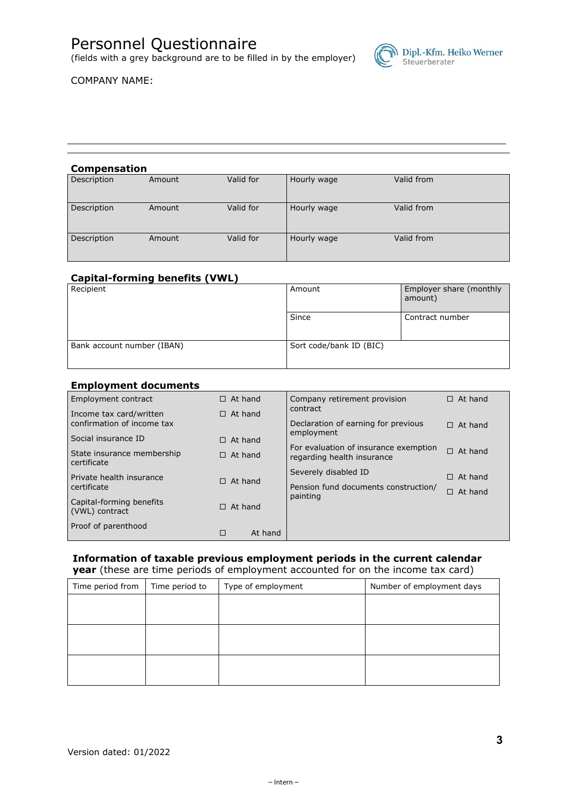# Personnel Questionnaire

(fields with a grey background are to be filled in by the employer)



## COMPANY NAME:

#### **Compensation**

| Description | Amount | Valid for | Hourly wage | Valid from |  |
|-------------|--------|-----------|-------------|------------|--|
| Description | Amount | Valid for | Hourly wage | Valid from |  |
| Description | Amount | Valid for | Hourly wage | Valid from |  |

# **Capital-forming benefits (VWL)**

| Recipient                  | Amount                  | Employer share (monthly<br>amount) |
|----------------------------|-------------------------|------------------------------------|
|                            | Since                   | Contract number                    |
| Bank account number (IBAN) | Sort code/bank ID (BIC) |                                    |

#### **Employment documents**

| Employment contract                        | $\Box$ At hand |         | Company retirement provision                      | $\Box$ At hand    |
|--------------------------------------------|----------------|---------|---------------------------------------------------|-------------------|
| Income tax card/written                    | $\Box$ At hand |         | contract                                          |                   |
| confirmation of income tax                 |                |         | Declaration of earning for previous<br>employment | $\Box$ At hand    |
| Social insurance ID                        | $\Box$ At hand |         | For evaluation of insurance exemption             |                   |
| State insurance membership<br>certificate  | $\Box$ At hand |         | regarding health insurance                        | $\Box$ At hand    |
|                                            |                |         | Severely disabled ID                              | At hand<br>$\Box$ |
| certificate                                |                |         | Pension fund documents construction/              | $\Box$            |
| Capital-forming benefits                   | $\Box$ At hand |         |                                                   |                   |
|                                            |                |         |                                                   |                   |
| Proof of parenthood                        | □              | At hand |                                                   |                   |
| Private health insurance<br>(VWL) contract | $\Box$ At hand |         | painting                                          | At hand           |

#### **Information of taxable previous employment periods in the current calendar year** (these are time periods of employment accounted for on the income tax card)

| Time period from | Time period to | Type of employment | Number of employment days |
|------------------|----------------|--------------------|---------------------------|
|                  |                |                    |                           |
|                  |                |                    |                           |
|                  |                |                    |                           |
|                  |                |                    |                           |
|                  |                |                    |                           |
|                  |                |                    |                           |